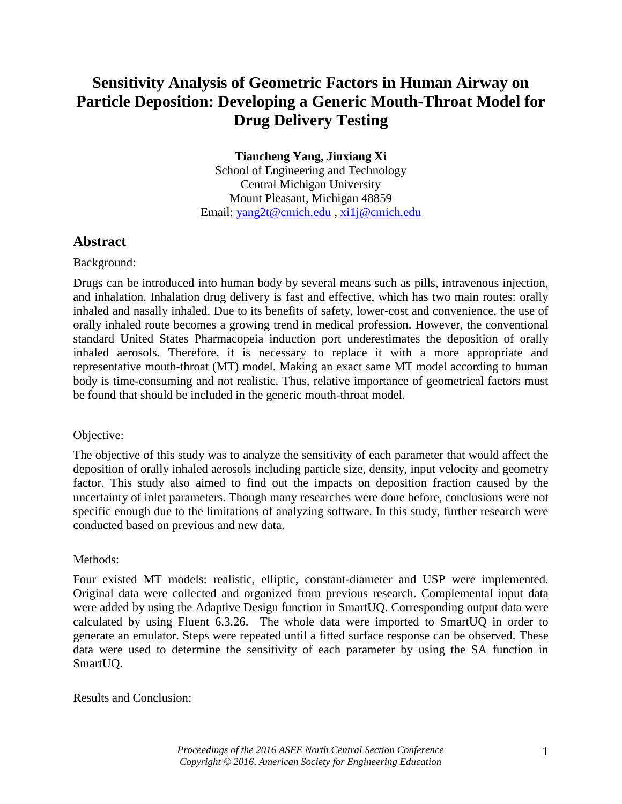# **Sensitivity Analysis of Geometric Factors in Human Airway on Particle Deposition: Developing a Generic Mouth-Throat Model for Drug Delivery Testing**

**Tiancheng Yang, Jinxiang Xi** School of Engineering and Technology Central Michigan University Mount Pleasant, Michigan 48859 Email: [yang2t@cmich.edu](mailto:yang2t@cmich.edu) , [xi1j@cmich.edu](mailto:xi1j@cmich.edu)

## **Abstract**

### Background:

Drugs can be introduced into human body by several means such as pills, intravenous injection, and inhalation. Inhalation drug delivery is fast and effective, which has two main routes: orally inhaled and nasally inhaled. Due to its benefits of safety, lower-cost and convenience, the use of orally inhaled route becomes a growing trend in medical profession. However, the conventional standard United States Pharmacopeia induction port underestimates the deposition of orally inhaled aerosols. Therefore, it is necessary to replace it with a more appropriate and representative mouth-throat (MT) model. Making an exact same MT model according to human body is time-consuming and not realistic. Thus, relative importance of geometrical factors must be found that should be included in the generic mouth-throat model.

### Objective:

The objective of this study was to analyze the sensitivity of each parameter that would affect the deposition of orally inhaled aerosols including particle size, density, input velocity and geometry factor. This study also aimed to find out the impacts on deposition fraction caused by the uncertainty of inlet parameters. Though many researches were done before, conclusions were not specific enough due to the limitations of analyzing software. In this study, further research were conducted based on previous and new data.

### Methods:

Four existed MT models: realistic, elliptic, constant-diameter and USP were implemented. Original data were collected and organized from previous research. Complemental input data were added by using the Adaptive Design function in SmartUQ. Corresponding output data were calculated by using Fluent 6.3.26. The whole data were imported to SmartUQ in order to generate an emulator. Steps were repeated until a fitted surface response can be observed. These data were used to determine the sensitivity of each parameter by using the SA function in SmartUQ.

Results and Conclusion: